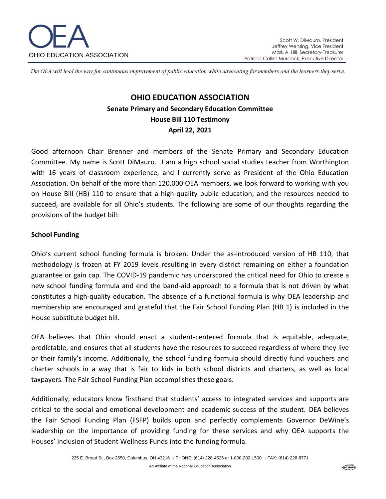

The OEA will lead the way for continuous improvement of public education while advocating for members and the learners they serve.

# **OHIO EDUCATION ASSOCIATION Senate Primary and Secondary Education Committee House Bill 110 Testimony April 22, 2021**

Good afternoon Chair Brenner and members of the Senate Primary and Secondary Education Committee. My name is Scott DiMauro. I am a high school social studies teacher from Worthington with 16 years of classroom experience, and I currently serve as President of the Ohio Education Association. On behalf of the more than 120,000 OEA members, we look forward to working with you on House Bill (HB) 110 to ensure that a high-quality public education, and the resources needed to succeed, are available for all Ohio's students. The following are some of our thoughts regarding the provisions of the budget bill:

#### **School Funding**

Ohio's current school funding formula is broken. Under the as-introduced version of HB 110, that methodology is frozen at FY 2019 levels resulting in every district remaining on either a foundation guarantee or gain cap. The COVID-19 pandemic has underscored the critical need for Ohio to create a new school funding formula and end the band-aid approach to a formula that is not driven by what constitutes a high-quality education. The absence of a functional formula is why OEA leadership and membership are encouraged and grateful that the Fair School Funding Plan (HB 1) is included in the House substitute budget bill.

OEA believes that Ohio should enact a student-centered formula that is equitable, adequate, predictable, and ensures that all students have the resources to succeed regardless of where they live or their family's income. Additionally, the school funding formula should directly fund vouchers and charter schools in a way that is fair to kids in both school districts and charters, as well as local taxpayers. The Fair School Funding Plan accomplishes these goals.

Additionally, educators know firsthand that students' access to integrated services and supports are critical to the social and emotional development and academic success of the student. OEA believes the Fair School Funding Plan (FSFP) builds upon and perfectly complements Governor DeWine's leadership on the importance of providing funding for these services and why OEA supports the Houses' inclusion of Student Wellness Funds into the funding formula.

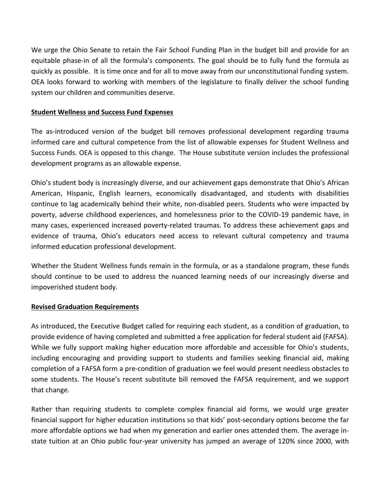We urge the Ohio Senate to retain the Fair School Funding Plan in the budget bill and provide for an equitable phase-in of all the formula's components. The goal should be to fully fund the formula as quickly as possible. It is time once and for all to move away from our unconstitutional funding system. OEA looks forward to working with members of the legislature to finally deliver the school funding system our children and communities deserve.

#### **Student Wellness and Success Fund Expenses**

The as-introduced version of the budget bill removes professional development regarding trauma informed care and cultural competence from the list of allowable expenses for Student Wellness and Success Funds. OEA is opposed to this change. The House substitute version includes the professional development programs as an allowable expense.

Ohio's student body is increasingly diverse, and our achievement gaps demonstrate that Ohio's African American, Hispanic, English learners, economically disadvantaged, and students with disabilities continue to lag academically behind their white, non-disabled peers. Students who were impacted by poverty, adverse childhood experiences, and homelessness prior to the COVID-19 pandemic have, in many cases, experienced increased poverty-related traumas. To address these achievement gaps and evidence of trauma, Ohio's educators need access to relevant cultural competency and trauma informed education professional development.

Whether the Student Wellness funds remain in the formula, or as a standalone program, these funds should continue to be used to address the nuanced learning needs of our increasingly diverse and impoverished student body.

### **Revised Graduation Requirements**

As introduced, the Executive Budget called for requiring each student, as a condition of graduation, to provide evidence of having completed and submitted a free application for federal student aid (FAFSA). While we fully support making higher education more affordable and accessible for Ohio's students, including encouraging and providing support to students and families seeking financial aid, making completion of a FAFSA form a pre-condition of graduation we feel would present needless obstacles to some students. The House's recent substitute bill removed the FAFSA requirement, and we support that change.

Rather than requiring students to complete complex financial aid forms, we would urge greater financial support for higher education institutions so that kids' post-secondary options become the far more affordable options we had when my generation and earlier ones attended them. The average instate tuition at an Ohio public four-year university has jumped an average of 120% since 2000, with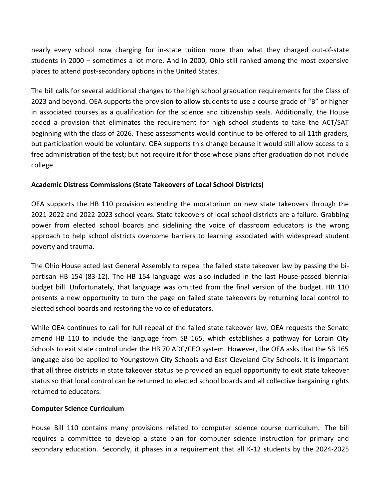nearly every school now charging for in-state tuition more than what they charged out-of-state students in 2000 – sometimes a lot more. And in 2000, Ohio still ranked among the most expensive places to attend post-secondary options in the United States.

The bill calls for several additional changes to the high school graduation requirements for the Class of 2023 and beyond. OEA supports the provision to allow students to use a course grade of "B" or higher in associated courses as a qualification for the science and citizenship seals. Additionally, the House added a provision that eliminates the requirement for high school students to take the ACT/SAT beginning with the class of 2026. These assessments would continue to be offered to all 11th graders, but participation would be voluntary. OEA supports this change because it would still allow access to a free administration of the test; but not require it for those whose plans after graduation do not include college.

## **Academic Distress Commissions (State Takeovers of Local School Districts)**

OEA supports the HB 110 provision extending the moratorium on new state takeovers through the 2021-2022 and 2022-2023 school years. State takeovers of local school districts are a failure. Grabbing power from elected school boards and sidelining the voice of classroom educators is the wrong approach to help school districts overcome barriers to learning associated with widespread student poverty and trauma.

The Ohio House acted last General Assembly to repeal the failed state takeover law by passing the bipartisan HB 154 (83-12). The HB 154 language was also included in the last House-passed biennial budget bill. Unfortunately, that language was omitted from the final version of the budget. HB 110 presents a new opportunity to turn the page on failed state takeovers by returning local control to elected school boards and restoring the voice of educators.

While OEA continues to call for full repeal of the failed state takeover law, OEA requests the Senate amend HB 110 to include the language from SB 165, which establishes a pathway for Lorain City Schools to exit state control under the HB 70 ADC/CEO system. However, the OEA asks that the SB 165 language also be applied to Youngstown City Schools and East Cleveland City Schools. It is important that all three districts in state takeover status be provided an equal opportunity to exit state takeover status so that local control can be returned to elected school boards and all collective bargaining rights returned to educators.

### **Computer Science Curriculum**

House Bill 110 contains many provisions related to computer science course curriculum. The bill requires a committee to develop a state plan for computer science instruction for primary and secondary education. Secondly, it phases in a requirement that all K-12 students by the 2024-2025